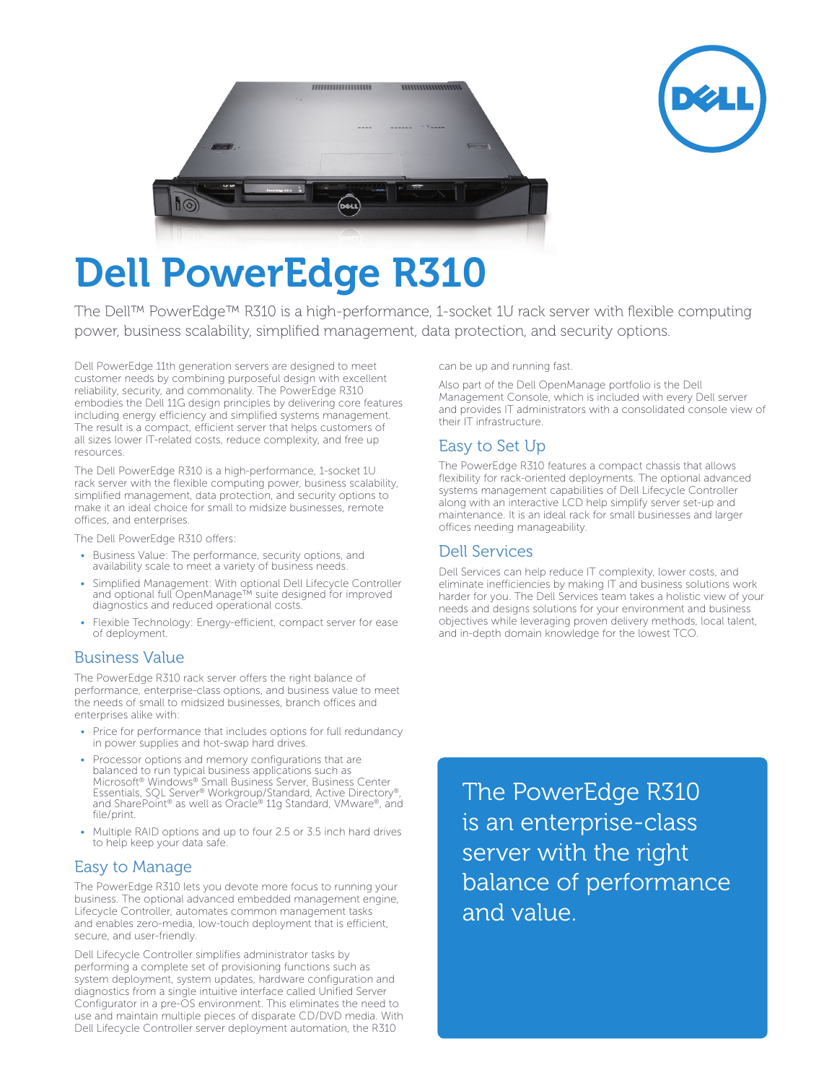



# Dell PowerEdge R310

The Dell™ PowerEdge™ R310 is a high-performance, 1-socket 1U rack server with flexible computing power, business scalability, simplified management, data protection, and security options.

Dell PowerEdge 11th generation servers are designed to meet customer needs by combining purposeful design with excellent reliability, security, and commonality. The PowerEdge R310 embodies the Dell 11G design principles by delivering core features including energy efficiency and simplified systems management. The result is a compact, efficient server that helps customers of all sizes lower IT-related costs, reduce complexity, and free up resources.

The Dell PowerEdge R310 is a high-performance, 1-socket 1U rack server with the flexible computing power, business scalability, simplified management, data protection, and security options to make it an ideal choice for small to midsize businesses, remote offices, and enterprises.

The Dell PowerEdge R310 offers:

- Business Value: The performance, security options, and availability scale to meet a variety of business needs.
- Simplified Management: With optional Dell Lifecycle Controller and optional full OpenManage™ suite designed for improved diagnostics and reduced operational costs.
- Flexible Technology: Energy-efficient, compact server for ease of deployment.

## Business Value

The PowerEdge R310 rack server offers the right balance of performance, enterprise-class options, and business value to meet the needs of small to midsized businesses, branch offices and enterprises alike with:

- Price for performance that includes options for full redundancy in power supplies and hot-swap hard drives.
- Processor options and memory configurations that are balanced to run typical business applications such as Microsoft® Windows® Small Business Server, Business Center Essentials, SQL Server® Workgroup/Standard, Active Directory®, and SharePoint® as well as Oracle® 11g Standard, VMware®, and file/print.
- Multiple RAID options and up to four 2.5 or 3.5 inch hard drives to help keep your data safe.

# Easy to Manage

The PowerEdge R310 lets you devote more focus to running your business. The optional advanced embedded management engine, Lifecycle Controller, automates common management tasks and enables zero-media, low-touch deployment that is efficient, secure, and user-friendly.

Dell Lifecycle Controller simplifies administrator tasks by performing a complete set of provisioning functions such as system deployment, system updates, hardware configuration and diagnostics from a single intuitive interface called Unified Server Configurator in a pre-OS environment. This eliminates the need to use and maintain multiple pieces of disparate CD/DVD media. With Dell Lifecycle Controller server deployment automation, the R310

can be up and running fast.

Also part of the Dell OpenManage portfolio is the Dell Management Console, which is included with every Dell server and provides IT administrators with a consolidated console view of their IT infrastructure.

# Easy to Set Up

The PowerEdge R310 features a compact chassis that allows flexibility for rack-oriented deployments. The optional advanced systems management capabilities of Dell Lifecycle Controller along with an interactive LCD help simplify server set-up and maintenance. It is an ideal rack for small businesses and larger offices needing manageability.

## Dell Services

Dell Services can help reduce IT complexity, lower costs, and eliminate inefficiencies by making IT and business solutions work harder for you. The Dell Services team takes a holistic view of your needs and designs solutions for your environment and business objectives while leveraging proven delivery methods, local talent, and in-depth domain knowledge for the lowest TCO.

The PowerEdge R310 is an enterprise-class server with the right balance of performance and value.